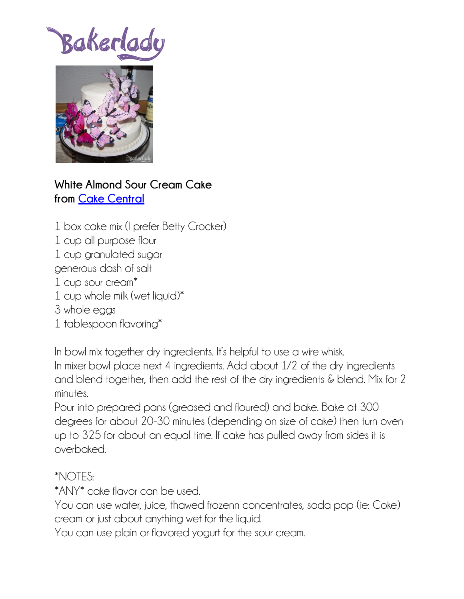Bakerlady



## **White Almond Sour Cream Cake from [Cake Central](http://www.cakecentral.com/recipe/7445/the-original-wasc-cake-recipe)**

1 box cake mix (I prefer Betty Crocker)

1 cup all purpose flour

1 cup granulated sugar

generous dash of salt

- 1 cup sour cream\*
- 1 cup whole milk (wet liquid)\*
- 3 whole eggs
- 1 tablespoon flavoring\*

In bowl mix together dry ingredients. It's helpful to use a wire whisk. In mixer bowl place next 4 ingredients. Add about 1/2 of the dry ingredients and blend together, then add the rest of the dry ingredients & blend. Mix for 2 minutes.

Pour into prepared pans (greased and floured) and bake. Bake at 300 degrees for about 20-30 minutes (depending on size of cake) then turn oven up to 325 for about an equal time. If cake has pulled away from sides it is overbaked.

## \*NOTES:

\*ANY\* cake flavor can be used.

You can use water, juice, thawed frozenn concentrates, soda pop (ie: Coke) cream or just about anything wet for the liquid.

You can use plain or flavored yogurt for the sour cream.